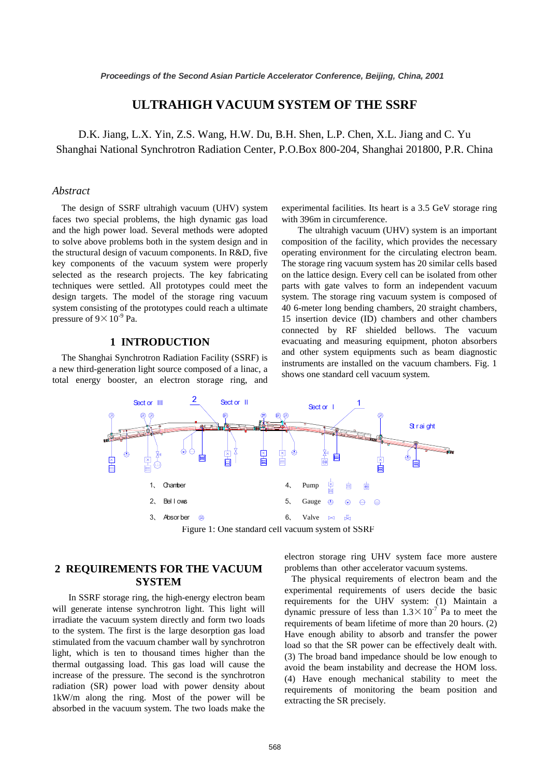# **ULTRAHIGH VACUUM SYSTEM OF THE SSRF**

D.K. Jiang, L.X. Yin, Z.S. Wang, H.W. Du, B.H. Shen, L.P. Chen, X.L. Jiang and C. Yu Shanghai National Synchrotron Radiation Center, P.O.Box 800-204, Shanghai 201800, P.R. China

#### *Abstract*

The design of SSRF ultrahigh vacuum (UHV) system faces two special problems, the high dynamic gas load and the high power load. Several methods were adopted to solve above problems both in the system design and in the structural design of vacuum components. In R&D, five key components of the vacuum system were properly selected as the research projects. The key fabricating techniques were settled. All prototypes could meet the design targets. The model of the storage ring vacuum system consisting of the prototypes could reach a ultimate pressure of  $9 \times 10^{-9}$  Pa.

### **1 INTRODUCTION**

The Shanghai Synchrotron Radiation Facility (SSRF) is a new third-generation light source composed of a linac, a total energy booster, an electron storage ring, and experimental facilities. Its heart is a 3.5 GeV storage ring with 396m in circumference.

 The ultrahigh vacuum (UHV) system is an important composition of the facility, which provides the necessary operating environment for the circulating electron beam. The storage ring vacuum system has 20 similar cells based on the lattice design. Every cell can be isolated from other parts with gate valves to form an independent vacuum system. The storage ring vacuum system is composed of 40 6-meter long bending chambers, 20 straight chambers, 15 insertion device (ID) chambers and other chambers connected by RF shielded bellows. The vacuum evacuating and measuring equipment, photon absorbers and other system equipments such as beam diagnostic instruments are installed on the vacuum chambers. Fig. 1 shows one standard cell vacuum system.



Figure 1: One standard cell vacuum system of SSRF

# **2 REQUIREMENTS FOR THE VACUUM SYSTEM**

 In SSRF storage ring, the high-energy electron beam will generate intense synchrotron light. This light will irradiate the vacuum system directly and form two loads to the system. The first is the large desorption gas load stimulated from the vacuum chamber wall by synchrotron light, which is ten to thousand times higher than the thermal outgassing load. This gas load will cause the increase of the pressure. The second is the synchrotron radiation (SR) power load with power density about 1kW/m along the ring. Most of the power will be absorbed in the vacuum system. The two loads make the

electron storage ring UHV system face more austere problems than other accelerator vacuum systems.

 The physical requirements of electron beam and the experimental requirements of users decide the basic requirements for the UHV system: (1) Maintain a dynamic pressure of less than  $1.3 \times 10^{-7}$  Pa to meet the requirements of beam lifetime of more than 20 hours. (2) Have enough ability to absorb and transfer the power load so that the SR power can be effectively dealt with. (3) The broad band impedance should be low enough to avoid the beam instability and decrease the HOM loss. (4) Have enough mechanical stability to meet the requirements of monitoring the beam position and extracting the SR precisely.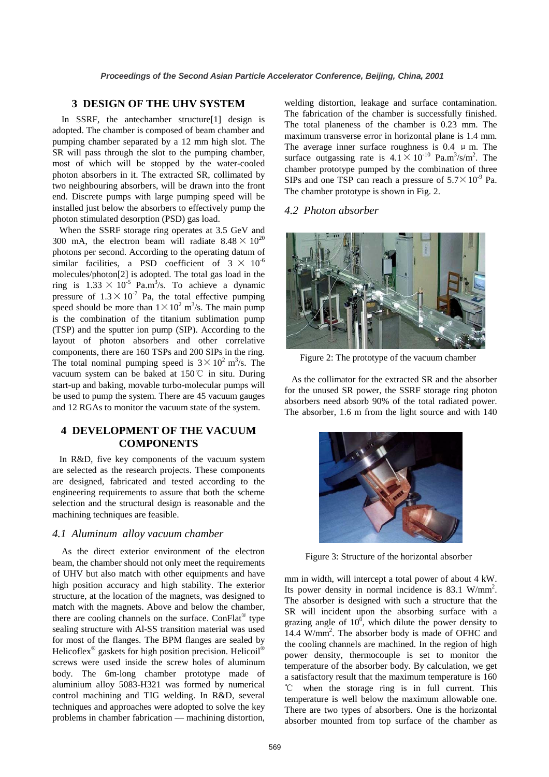### **3 DESIGN OF THE UHV SYSTEM**

In SSRF, the antechamber structure[1] design is adopted. The chamber is composed of beam chamber and pumping chamber separated by a 12 mm high slot. The SR will pass through the slot to the pumping chamber, most of which will be stopped by the water-cooled photon absorbers in it. The extracted SR, collimated by two neighbouring absorbers, will be drawn into the front end. Discrete pumps with large pumping speed will be installed just below the absorbers to effectively pump the photon stimulated desorption (PSD) gas load.

 When the SSRF storage ring operates at 3.5 GeV and 300 mA, the electron beam will radiate  $8.48 \times 10^{20}$ photons per second. According to the operating datum of similar facilities, a PSD coefficient of  $3 \times 10^{-6}$ molecules/photon[2] is adopted. The total gas load in the ring is  $1.33 \times 10^{-5}$  Pa.m<sup>3</sup>/s. To achieve a dynamic pressure of  $1.3 \times 10^{-7}$  Pa, the total effective pumping speed should be more than  $1 \times 10^2$  m<sup>3</sup>/s. The main pump is the combination of the titanium sublimation pump (TSP) and the sputter ion pump (SIP). According to the layout of photon absorbers and other correlative components, there are 160 TSPs and 200 SIPs in the ring. The total nominal pumping speed is  $3 \times 10^2$  m<sup>3</sup>/s. The vacuum system can be baked at 150℃ in situ. During start-up and baking, movable turbo-molecular pumps will be used to pump the system. There are 45 vacuum gauges and 12 RGAs to monitor the vacuum state of the system.

# **4 DEVELOPMENT OF THE VACUUM COMPONENTS**

 In R&D, five key components of the vacuum system are selected as the research projects. These components are designed, fabricated and tested according to the engineering requirements to assure that both the scheme selection and the structural design is reasonable and the machining techniques are feasible.

#### *4.1 Aluminum alloy vacuum chamber*

 As the direct exterior environment of the electron beam, the chamber should not only meet the requirements of UHV but also match with other equipments and have high position accuracy and high stability. The exterior structure, at the location of the magnets, was designed to match with the magnets. Above and below the chamber, there are cooling channels on the surface. ConFlat<sup>®</sup> type sealing structure with Al-SS transition material was used for most of the flanges. The BPM flanges are sealed by Helicoflex<sup>®</sup> gaskets for high position precision. Helicoil<sup>®</sup> screws were used inside the screw holes of aluminum body. The 6m-long chamber prototype made of aluminium alloy 5083-H321 was formed by numerical control machining and TIG welding. In R&D, several techniques and approaches were adopted to solve the key problems in chamber fabrication — machining distortion,

welding distortion, leakage and surface contamination. The fabrication of the chamber is successfully finished. The total planeness of the chamber is 0.23 mm. The maximum transverse error in horizontal plane is 1.4 mm. The average inner surface roughness is 0.4  $\mu$  m. The surface outgassing rate is  $4.1 \times 10^{-10}$  Pa.m<sup>3</sup>/s/m<sup>2</sup>. The chamber prototype pumped by the combination of three SIPs and one TSP can reach a pressure of  $5.7 \times 10^{-9}$  Pa. The chamber prototype is shown in Fig. 2.

### *4.2 Photon absorber*



Figure 2: The prototype of the vacuum chamber

 As the collimator for the extracted SR and the absorber for the unused SR power, the SSRF storage ring photon absorbers need absorb 90% of the total radiated power. The absorber, 1.6 m from the light source and with 140



Figure 3: Structure of the horizontal absorber

mm in width, will intercept a total power of about 4 kW. Its power density in normal incidence is 83.1 W/mm<sup>2</sup>. The absorber is designed with such a structure that the SR will incident upon the absorbing surface with a grazing angle of  $10^0$ , which dilute the power density to 14.4 W/mm2 . The absorber body is made of OFHC and the cooling channels are machined. In the region of high power density, thermocouple is set to monitor the temperature of the absorber body. By calculation, we get a satisfactory result that the maximum temperature is 160 ℃ when the storage ring is in full current. This temperature is well below the maximum allowable one. There are two types of absorbers. One is the horizontal absorber mounted from top surface of the chamber as